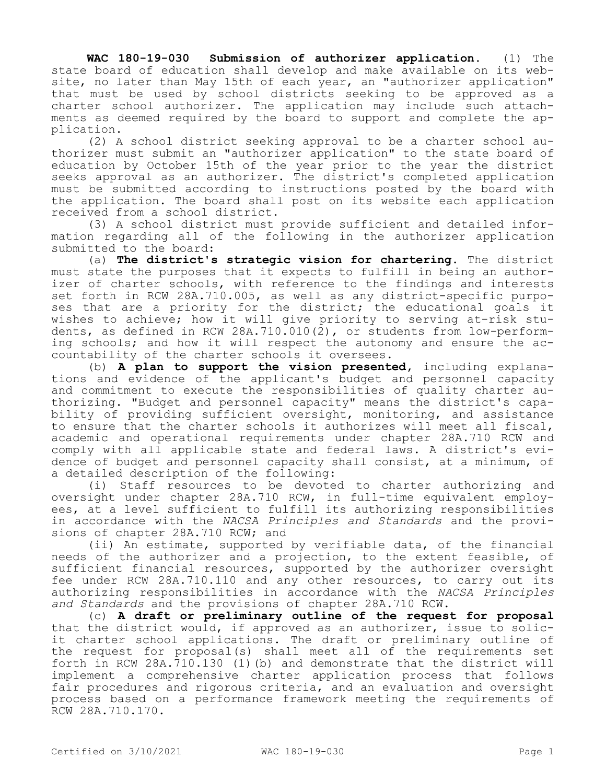**WAC 180-19-030 Submission of authorizer application.** (1) The state board of education shall develop and make available on its website, no later than May 15th of each year, an "authorizer application" that must be used by school districts seeking to be approved as a charter school authorizer. The application may include such attachments as deemed required by the board to support and complete the application.

(2) A school district seeking approval to be a charter school authorizer must submit an "authorizer application" to the state board of education by October 15th of the year prior to the year the district seeks approval as an authorizer. The district's completed application must be submitted according to instructions posted by the board with the application. The board shall post on its website each application received from a school district.

(3) A school district must provide sufficient and detailed information regarding all of the following in the authorizer application submitted to the board:

(a) **The district's strategic vision for chartering.** The district must state the purposes that it expects to fulfill in being an authorizer of charter schools, with reference to the findings and interests set forth in RCW 28A.710.005, as well as any district-specific purposes that are a priority for the district; the educational goals it wishes to achieve; how it will give priority to serving at-risk students, as defined in RCW 28A.710.010(2), or students from low-performing schools; and how it will respect the autonomy and ensure the accountability of the charter schools it oversees.

(b) **A plan to support the vision presented,** including explanations and evidence of the applicant's budget and personnel capacity and commitment to execute the responsibilities of quality charter authorizing. "Budget and personnel capacity" means the district's capability of providing sufficient oversight, monitoring, and assistance to ensure that the charter schools it authorizes will meet all fiscal, academic and operational requirements under chapter 28A.710 RCW and comply with all applicable state and federal laws. A district's evidence of budget and personnel capacity shall consist, at a minimum, of a detailed description of the following:

(i) Staff resources to be devoted to charter authorizing and oversight under chapter 28A.710 RCW, in full-time equivalent employees, at a level sufficient to fulfill its authorizing responsibilities in accordance with the *NACSA Principles and Standards* and the provisions of chapter 28A.710 RCW; and

(ii) An estimate, supported by verifiable data, of the financial needs of the authorizer and a projection, to the extent feasible, of sufficient financial resources, supported by the authorizer oversight fee under RCW 28A.710.110 and any other resources, to carry out its authorizing responsibilities in accordance with the *NACSA Principles and Standards* and the provisions of chapter 28A.710 RCW.

(c) **A draft or preliminary outline of the request for proposal**  that the district would, if approved as an authorizer, issue to solicit charter school applications. The draft or preliminary outline of the request for proposal(s) shall meet all of the requirements set forth in RCW 28A.710.130 (1)(b) and demonstrate that the district will implement a comprehensive charter application process that follows fair procedures and rigorous criteria, and an evaluation and oversight process based on a performance framework meeting the requirements of RCW 28A.710.170.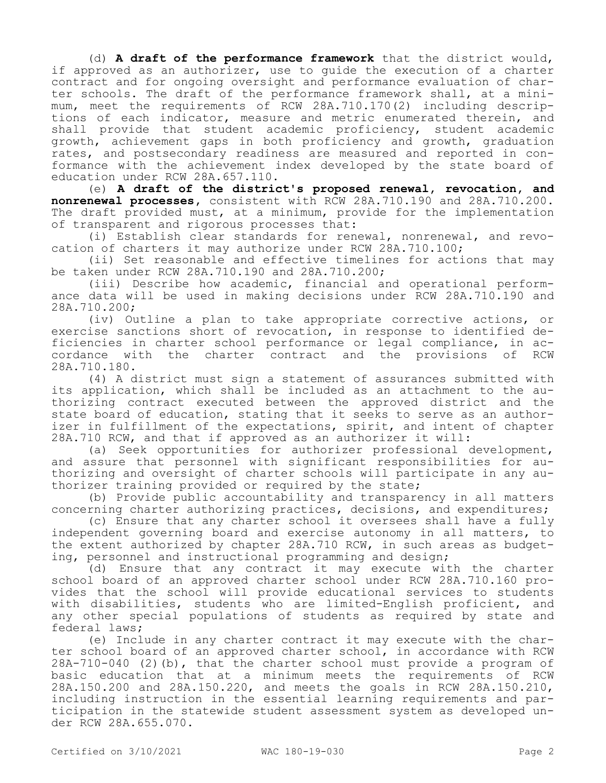(d) **A draft of the performance framework** that the district would, if approved as an authorizer, use to guide the execution of a charter contract and for ongoing oversight and performance evaluation of charter schools. The draft of the performance framework shall, at a minimum, meet the requirements of RCW 28A.710.170(2) including descriptions of each indicator, measure and metric enumerated therein, and shall provide that student academic proficiency, student academic growth, achievement gaps in both proficiency and growth, graduation rates, and postsecondary readiness are measured and reported in conformance with the achievement index developed by the state board of education under RCW 28A.657.110.

(e) **A draft of the district's proposed renewal, revocation, and nonrenewal processes,** consistent with RCW 28A.710.190 and 28A.710.200. The draft provided must, at a minimum, provide for the implementation of transparent and rigorous processes that:

(i) Establish clear standards for renewal, nonrenewal, and revocation of charters it may authorize under RCW 28A.710.100;

(ii) Set reasonable and effective timelines for actions that may be taken under RCW 28A.710.190 and 28A.710.200;

(iii) Describe how academic, financial and operational performance data will be used in making decisions under RCW 28A.710.190 and 28A.710.200;

(iv) Outline a plan to take appropriate corrective actions, or exercise sanctions short of revocation, in response to identified deficiencies in charter school performance or legal compliance, in ac-<br>cordance with the charter contract and the provisions of RCW cordance with the charter contract and the provisions of 28A.710.180.

(4) A district must sign a statement of assurances submitted with its application, which shall be included as an attachment to the authorizing contract executed between the approved district and the state board of education, stating that it seeks to serve as an authorizer in fulfillment of the expectations, spirit, and intent of chapter 28A.710 RCW, and that if approved as an authorizer it will:

(a) Seek opportunities for authorizer professional development, and assure that personnel with significant responsibilities for authorizing and oversight of charter schools will participate in any authorizer training provided or required by the state;

(b) Provide public accountability and transparency in all matters concerning charter authorizing practices, decisions, and expenditures;

(c) Ensure that any charter school it oversees shall have a fully independent governing board and exercise autonomy in all matters, to the extent authorized by chapter 28A.710 RCW, in such areas as budgeting, personnel and instructional programming and design;

(d) Ensure that any contract it may execute with the charter school board of an approved charter school under RCW 28A.710.160 provides that the school will provide educational services to students with disabilities, students who are limited-English proficient, and any other special populations of students as required by state and federal laws;

(e) Include in any charter contract it may execute with the charter school board of an approved charter school, in accordance with RCW 28A-710-040 (2)(b), that the charter school must provide a program of basic education that at a minimum meets the requirements of RCW 28A.150.200 and 28A.150.220, and meets the goals in RCW 28A.150.210, including instruction in the essential learning requirements and participation in the statewide student assessment system as developed under RCW 28A.655.070.